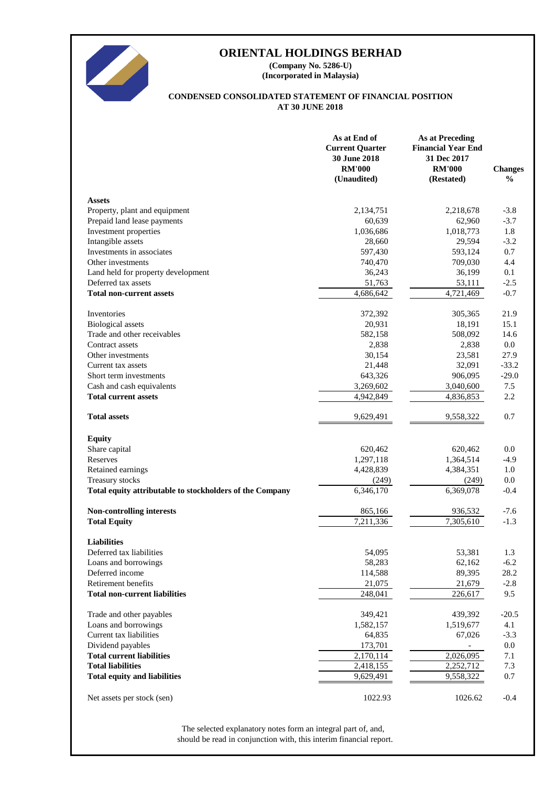

# **ORIENTAL HOLDINGS BERHAD**

**(Incorporated in Malaysia) (Company No. 5286-U)**

# **AT 30 JUNE 2018 CONDENSED CONSOLIDATED STATEMENT OF FINANCIAL POSITION**

|                                                          | As at End of<br><b>Current Quarter</b><br>30 June 2018<br><b>RM'000</b><br>(Unaudited) | <b>As at Preceding</b><br><b>Financial Year End</b><br>31 Dec 2017<br><b>RM'000</b><br>(Restated) | <b>Changes</b><br>$\frac{6}{6}$ |
|----------------------------------------------------------|----------------------------------------------------------------------------------------|---------------------------------------------------------------------------------------------------|---------------------------------|
| <b>Assets</b>                                            |                                                                                        |                                                                                                   |                                 |
| Property, plant and equipment                            | 2,134,751                                                                              | 2,218,678                                                                                         | $-3.8$                          |
| Prepaid land lease payments                              | 60,639                                                                                 | 62,960                                                                                            | $-3.7$                          |
| Investment properties                                    | 1,036,686                                                                              | 1,018,773                                                                                         | 1.8                             |
| Intangible assets                                        | 28,660                                                                                 | 29,594                                                                                            | $-3.2$                          |
| Investments in associates                                | 597,430                                                                                | 593,124                                                                                           | 0.7                             |
| Other investments                                        | 740,470                                                                                | 709,030                                                                                           | 4.4                             |
| Land held for property development                       | 36,243                                                                                 | 36,199                                                                                            | 0.1                             |
| Deferred tax assets                                      | 51,763                                                                                 | 53,111                                                                                            | $-2.5$                          |
| <b>Total non-current assets</b>                          | 4,686,642                                                                              | 4,721,469                                                                                         | $-0.7$                          |
| Inventories                                              | 372,392                                                                                | 305,365                                                                                           | 21.9                            |
| <b>Biological</b> assets                                 | 20,931                                                                                 | 18,191                                                                                            | 15.1                            |
| Trade and other receivables                              | 582,158                                                                                | 508,092                                                                                           | 14.6                            |
| Contract assets                                          | 2,838                                                                                  | 2,838                                                                                             | 0.0                             |
| Other investments                                        | 30,154                                                                                 | 23,581                                                                                            | 27.9                            |
| Current tax assets                                       | 21,448                                                                                 | 32,091                                                                                            | $-33.2$                         |
| Short term investments                                   | 643,326                                                                                | 906,095                                                                                           | $-29.0$                         |
| Cash and cash equivalents                                | 3,269,602                                                                              | 3,040,600                                                                                         | 7.5                             |
| <b>Total current assets</b>                              | 4,942,849                                                                              | 4,836,853                                                                                         | 2.2                             |
| <b>Total assets</b>                                      | 9,629,491                                                                              | 9,558,322                                                                                         | 0.7                             |
| <b>Equity</b>                                            |                                                                                        |                                                                                                   |                                 |
| Share capital                                            | 620,462                                                                                | 620,462                                                                                           | 0.0                             |
| Reserves                                                 | 1,297,118                                                                              | 1,364,514                                                                                         | $-4.9$                          |
| Retained earnings                                        | 4,428,839                                                                              | 4,384,351                                                                                         | 1.0                             |
| Treasury stocks                                          | (249)                                                                                  | (249)                                                                                             | 0.0                             |
| Total equity attributable to stockholders of the Company | 6,346,170                                                                              | 6,369,078                                                                                         | $-0.4$                          |
| <b>Non-controlling interests</b>                         | 865,166                                                                                | 936,532                                                                                           | $-7.6$                          |
| <b>Total Equity</b>                                      | $\overline{7,211,336}$                                                                 | 7,305,610                                                                                         | $-1.3$                          |
| <b>Liabilities</b>                                       |                                                                                        |                                                                                                   |                                 |
| Deferred tax liabilities                                 | 54,095                                                                                 | 53,381                                                                                            | 1.3                             |
| Loans and borrowings                                     | 58,283                                                                                 | 62,162                                                                                            | $-6.2$                          |
| Deferred income                                          | 114,588                                                                                | 89,395                                                                                            | 28.2                            |
| Retirement benefits                                      | 21,075                                                                                 | 21,679                                                                                            | $-2.8$                          |
| <b>Total non-current liabilities</b>                     | 248,041                                                                                | 226,617                                                                                           | 9.5                             |
|                                                          | 349,421                                                                                | 439,392                                                                                           | $-20.5$                         |
| Trade and other payables<br>Loans and borrowings         | 1,582,157                                                                              | 1,519,677                                                                                         | 4.1                             |
| Current tax liabilities                                  | 64,835                                                                                 | 67,026                                                                                            | $-3.3$                          |
| Dividend payables                                        | 173,701                                                                                |                                                                                                   | 0.0                             |
| <b>Total current liabilities</b>                         | 2,170,114                                                                              | 2,026,095                                                                                         | 7.1                             |
| <b>Total liabilities</b>                                 | 2,418,155                                                                              | 2,252,712                                                                                         | 7.3                             |
| <b>Total equity and liabilities</b>                      | 9,629,491                                                                              | 9,558,322                                                                                         | 0.7                             |
|                                                          |                                                                                        |                                                                                                   |                                 |
| Net assets per stock (sen)                               | 1022.93                                                                                | 1026.62                                                                                           | $-0.4$                          |

should be read in conjunction with, this interim financial report. The selected explanatory notes form an integral part of, and,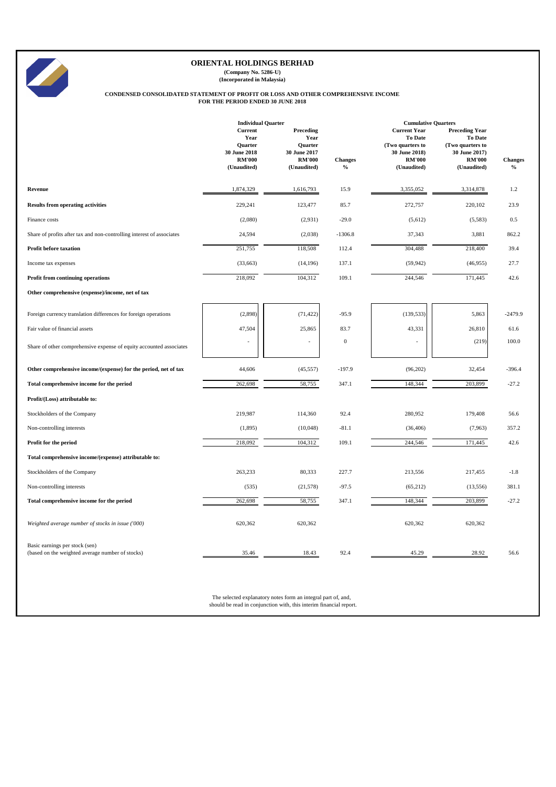|                                                                       | <b>Individual Quarter</b>                                          |                                                               |                  |                                                                                      | <b>Cumulative Quarters</b>                                                                    |                |  |
|-----------------------------------------------------------------------|--------------------------------------------------------------------|---------------------------------------------------------------|------------------|--------------------------------------------------------------------------------------|-----------------------------------------------------------------------------------------------|----------------|--|
|                                                                       | <b>Current</b><br>Year<br>Quarter<br>30 June 2018<br><b>RM'000</b> | Preceding<br>Year<br>Quarter<br>30 June 2017<br><b>RM'000</b> | <b>Changes</b>   | <b>Current Year</b><br>To Date<br>(Two quarters to<br>30 June 2018)<br><b>RM'000</b> | <b>Preceding Year</b><br><b>To Date</b><br>(Two quarters to<br>30 June 2017)<br><b>RM'000</b> | <b>Changes</b> |  |
|                                                                       | (Unaudited)                                                        | (Unaudited)                                                   | $\frac{0}{0}$    | (Unaudited)                                                                          | (Unaudited)                                                                                   | $\frac{6}{6}$  |  |
| <b>Revenue</b>                                                        | 1,874,329                                                          | 1,616,793                                                     | 15.9             | 3,355,052                                                                            | 3,314,878                                                                                     | $1.2\,$        |  |
| <b>Results from operating activities</b>                              | 229,241                                                            | 123,477                                                       | 85.7             | 272,757                                                                              | 220,102                                                                                       | 23.9           |  |
| Finance costs                                                         | (2,080)                                                            | (2,931)                                                       | $-29.0$          | (5,612)                                                                              | (5,583)                                                                                       | 0.5            |  |
| Share of profits after tax and non-controlling interest of associates | 24,594                                                             | (2,038)                                                       | $-1306.8$        | 37,343                                                                               | 3,881                                                                                         | 862.2          |  |
| <b>Profit before taxation</b>                                         | 251,755                                                            | 118,508                                                       | 112.4            | 304,488                                                                              | 218,400                                                                                       | 39.4           |  |
| Income tax expenses                                                   | (33, 663)                                                          | (14,196)                                                      | 137.1            | (59, 942)                                                                            | (46,955)                                                                                      | 27.7           |  |
| Profit from continuing operations                                     | 218,092                                                            | 104,312                                                       | 109.1            | 244,546                                                                              | 171,445                                                                                       | 42.6           |  |
| Other comprehensive (expense)/income, net of tax                      |                                                                    |                                                               |                  |                                                                                      |                                                                                               |                |  |
| Foreign currency translation differences for foreign operations       | (2,898)                                                            | (71, 422)                                                     | $-95.9$          | (139, 533)                                                                           | 5,863                                                                                         | $-2479.9$      |  |
| Fair value of financial assets                                        | 47,504                                                             | 25,865                                                        | 83.7             | 43,331                                                                               | 26,810                                                                                        | 61.6           |  |
| Share of other comprehensive expense of equity accounted associates   | $\overline{\phantom{a}}$                                           | $\overline{\phantom{a}}$                                      | $\boldsymbol{0}$ |                                                                                      | (219)                                                                                         | 100.0          |  |
| Other comprehensive income/(expense) for the period, net of tax       | 44,606                                                             | (45, 557)                                                     | $-197.9$         | (96,202)                                                                             | 32,454                                                                                        | $-396.4$       |  |
| Total comprehensive income for the period                             | 262,698                                                            | 58,755                                                        | 347.1            | 148,344                                                                              | 203,899                                                                                       | $-27.2$        |  |
| Profit/(Loss) attributable to:                                        |                                                                    |                                                               |                  |                                                                                      |                                                                                               |                |  |
| Stockholders of the Company                                           | 219,987                                                            | 114,360                                                       | 92.4             | 280,952                                                                              | 179,408                                                                                       | 56.6           |  |
| Non-controlling interests                                             | (1,895)                                                            | (10,048)                                                      | $-81.1$          | (36, 406)                                                                            | (7,963)                                                                                       | 357.2          |  |
| Profit for the period                                                 | 218,092                                                            | 104,312                                                       | 109.1            | 244,546                                                                              | 171,445                                                                                       | 42.6           |  |
| Total comprehensive income/(expense) attributable to:                 |                                                                    |                                                               |                  |                                                                                      |                                                                                               |                |  |
| Stockholders of the Company                                           | 263,233                                                            | 80,333                                                        | 227.7            | 213,556                                                                              | 217,455                                                                                       | $-1.8$         |  |
| Non-controlling interests                                             | (535)                                                              | (21,578)                                                      | $-97.5$          | (65,212)                                                                             | (13, 556)                                                                                     | 381.1          |  |
| Total comprehensive income for the period                             | 262,698                                                            | 58,755                                                        | 347.1            | 148,344                                                                              | 203,899                                                                                       | $-27.2$        |  |

| Weighted average number of stocks in issue ('000)                                  | 620,362                                                                                                                             | 620,362 |      | 620,362 | 620,362 |      |  |
|------------------------------------------------------------------------------------|-------------------------------------------------------------------------------------------------------------------------------------|---------|------|---------|---------|------|--|
| Basic earnings per stock (sen)<br>(based on the weighted average number of stocks) | 35.46                                                                                                                               | 18.43   | 92.4 | 45.29   | 28.92   | 56.6 |  |
|                                                                                    | The selected explanatory notes form an integral part of, and,<br>should be read in conjunction with, this interim financial report. |         |      |         |         |      |  |



# **ORIENTAL HOLDINGS BERHAD**

**(Company No. 5286-U) (Incorporated in Malaysia)**

#### **CONDENSED CONSOLIDATED STATEMENT OF PROFIT OR LOSS AND OTHER COMPREHENSIVE INCOME FOR THE PERIOD ENDED 30 JUNE 2018**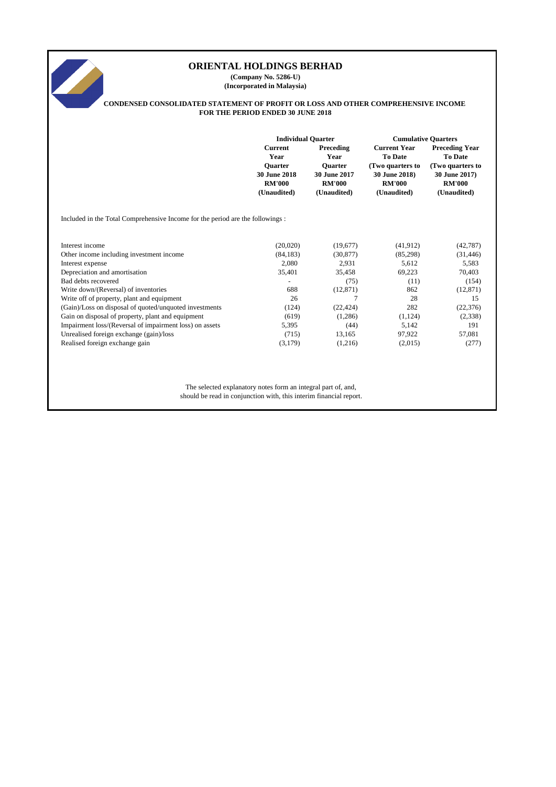# **Current Preceding Current Year Preceding Year Year Year To Date To Date Quarter Quarter (Two quarters to (Two quarters to 30 June 2018 30 June 2017 30 June 2018) 30 June 2017) RM'000 RM'000 RM'000 RM'000 (Unaudited) (Unaudited) (Unaudited) (Unaudited)** Included in the Total Comprehensive Income for the period are the followings : Interest income (20,020) (19,677) (41,912) (42,787) Other income including investment income (84,183) (30,877) (85,298) (31,446) Interest expense 2,080 2,931 5,583 Depreciation and amortisation 35,401 35,458 69,223 70,403  $Bad debts recovered$  (11) (154) Write down/(Reversal) of inventories 688 (12,871) 862 (12,871) 862 (12,871) Write off of property, plant and equipment 26 28 28 15 (Gain)/Loss on disposal of quoted/unquoted investments (124) (22,424) 282 (22,376) Gain on disposal of property, plant and equipment (619) (1,286) (1,124) (2,338) Impairment loss/(Reversal of impairment loss) on assets 5,395 (44) 5,142 191 Unrealised foreign exchange (gain)/loss (715) 13,165 97,922 57,081 Realised foreign exchange gain (3,179) (1,216) (2,015) (277) The selected explanatory notes form an integral part of, and, **ORIENTAL HOLDINGS BERHAD (Company No. 5286-U) (Incorporated in Malaysia) CONDENSED CONSOLIDATED STATEMENT OF PROFIT OR LOSS AND OTHER COMPREHENSIVE INCOME FOR THE PERIOD ENDED 30 JUNE 2018 Individual Quarter Cumulative Quarters**

should be read in conjunction with, this interim financial report.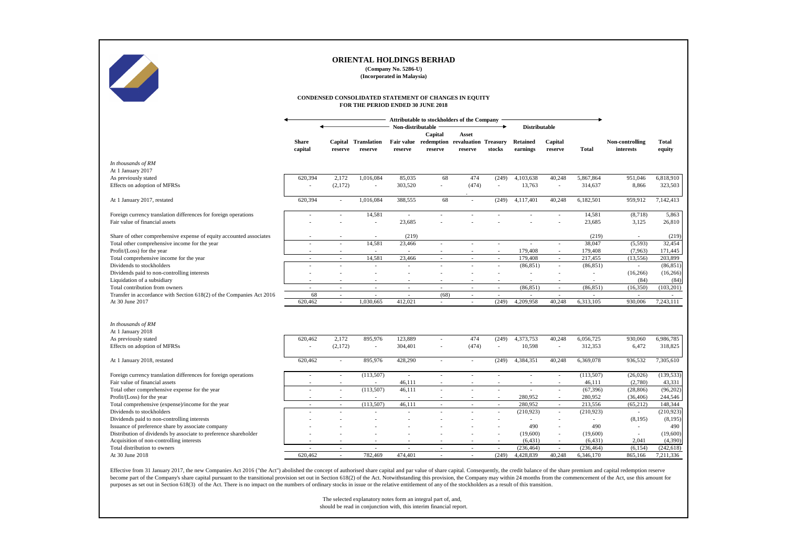|                                                                                                   |                                                                                            |                          | <b>ORIENTAL HOLDINGS BERHAD</b>       | (Company No. 5286-U)<br>(Incorporated in Malaysia) |                                             |                                                     |                          |                             |                    |                      |                              |                        |
|---------------------------------------------------------------------------------------------------|--------------------------------------------------------------------------------------------|--------------------------|---------------------------------------|----------------------------------------------------|---------------------------------------------|-----------------------------------------------------|--------------------------|-----------------------------|--------------------|----------------------|------------------------------|------------------------|
|                                                                                                   | CONDENSED CONSOLIDATED STATEMENT OF CHANGES IN EQUITY<br>FOR THE PERIOD ENDED 30 JUNE 2018 |                          |                                       |                                                    |                                             |                                                     |                          |                             |                    |                      |                              |                        |
|                                                                                                   |                                                                                            |                          |                                       |                                                    | Attributable to stockholders of the Company |                                                     |                          |                             |                    |                      |                              |                        |
|                                                                                                   |                                                                                            |                          |                                       | Non-distributable                                  |                                             |                                                     |                          | <b>Distributable</b>        |                    |                      |                              |                        |
|                                                                                                   | <b>Share</b><br>capital                                                                    | reserve                  | <b>Capital Translation</b><br>reserve | <b>Fair value</b><br>reserve                       | Capital<br>reserve                          | Asset<br>redemption revaluation Treasury<br>reserve | stocks                   | <b>Retained</b><br>earnings | Capital<br>reserve | <b>Total</b>         | Non-controlling<br>interests | <b>Total</b><br>equity |
|                                                                                                   |                                                                                            |                          |                                       |                                                    |                                             |                                                     |                          |                             |                    |                      |                              |                        |
| In thousands of RM<br>At 1 January 2017                                                           |                                                                                            |                          |                                       |                                                    |                                             |                                                     |                          |                             |                    |                      |                              |                        |
| As previously stated<br>Effects on adoption of MFRSs                                              | 620,394<br>$\overline{\phantom{a}}$                                                        | 2,172<br>(2,172)         | 1,016,084<br>$\sim$                   | 85,035<br>303,520                                  | 68                                          | 474<br>(474)                                        | (249)<br>$\sim$          | 4,103,638<br>13,763         | 40,248<br>$\sim$   | 5,867,864<br>314,637 | 951,046<br>8,866             | 6,818,910<br>323,503   |
| At 1 January 2017, restated                                                                       | 620,394                                                                                    | $\blacksquare$           | 1,016,084                             | 388,555                                            | 68                                          |                                                     | (249)                    | 4,117,401                   | 40,248             | 6,182,501            | 959,912                      | 7,142,413              |
| Foreign currency translation differences for foreign operations<br>Fair value of financial assets |                                                                                            |                          | 14,581                                | $\sim$<br>23,685                                   |                                             |                                                     |                          |                             |                    | 14,581<br>23,685     | (8,718)<br>3,125             | 5,863<br>26,810        |
| Share of other comprehensive expense of equity accounted associates                               |                                                                                            |                          |                                       | (219)                                              |                                             |                                                     |                          |                             |                    | (219)                |                              | (219)                  |
| Total other comprehensive income for the year                                                     |                                                                                            |                          | 14,581                                | 23,466                                             |                                             |                                                     |                          |                             |                    | 38,047               | (5,593)                      | 32,454                 |
| Profit/(Loss) for the year                                                                        |                                                                                            |                          |                                       |                                                    |                                             |                                                     |                          | 179,408                     | $\sim$             | 179,408              | (7,963)                      | 171,445                |
| Total comprehensive income for the year                                                           | $\sim$                                                                                     |                          | 14,581                                | 23,466                                             |                                             |                                                     | $\sim$                   | 179,408                     | $\sim$             | 217,455              | (13, 556)                    | 203,899                |
| Dividends to stockholders                                                                         |                                                                                            |                          | $\overline{\phantom{a}}$              |                                                    |                                             |                                                     | $\overline{\phantom{a}}$ | (86, 851)                   | $\sim$             | (86, 851)            | $\blacksquare$               | (86, 851)              |
| Dividends paid to non-controlling interests<br>Liquidation of a subsidiary                        |                                                                                            |                          |                                       |                                                    |                                             |                                                     |                          |                             |                    |                      | (16,266)<br>(84)             | (16, 266)<br>(84)      |
| Total contribution from owners                                                                    |                                                                                            | $\sim$                   | $\overline{\phantom{a}}$              |                                                    |                                             |                                                     | $\blacksquare$           | (86, 851)                   |                    | (86, 851)            | (16,350)                     | (103, 201)             |
| Transfer in accordance with Section 618(2) of the Companies Act 2016                              | 68                                                                                         | $\sim$                   | $\sim$                                |                                                    | (68)                                        |                                                     | $\overline{\phantom{a}}$ | $\sim$                      | $\sim$             |                      |                              |                        |
| At 30 June 2017                                                                                   | 620,462                                                                                    |                          | 1,030,665                             | 412,021                                            |                                             |                                                     | (249)                    | 4,209,958                   | 40,248             | 6,313,105            | 930,006                      | 7,243,111              |
| In thousands of RM<br>At 1 January 2018                                                           |                                                                                            |                          |                                       |                                                    |                                             |                                                     |                          |                             |                    |                      |                              |                        |
| As previously stated                                                                              | 620,462                                                                                    | 2,172                    | 895,976                               | 123,889                                            |                                             | 474                                                 | (249)                    | 4,373,753                   | 40,248             | 6,056,725            | 930,060                      | 6,986,785              |
| Effects on adoption of MFRSs                                                                      | $\sim$                                                                                     | (2,172)                  | $\sim$                                | 304,401                                            |                                             | (474)                                               | $\sim$                   | 10,598                      | $\sim$             | 312,353              | 6,472                        | 318,825                |
| At 1 January 2018, restated                                                                       | 620,462                                                                                    | $\sim$                   | 895,976                               | 428,290                                            |                                             |                                                     | (249)                    | 4,384,351                   | 40,248             | 6,369,078            | 936,532                      | 7,305,610              |
| Foreign currency translation differences for foreign operations                                   |                                                                                            |                          | (113,507)                             | $\sim$                                             |                                             |                                                     |                          |                             | $\sim$             | (113,507)            | (26,026)                     | (139, 533)             |
| Fair value of financial assets                                                                    |                                                                                            |                          |                                       | 46,111                                             |                                             |                                                     |                          |                             |                    | 46,111               | (2,780)                      | 43,331                 |
| Total other comprehensive expense for the year                                                    |                                                                                            |                          | (113,507)                             | 46,111                                             |                                             |                                                     |                          |                             | $\sim$             | (67, 396)            | (28, 806)                    | (96,202)               |
| Profit/(Loss) for the year                                                                        |                                                                                            |                          |                                       |                                                    |                                             |                                                     |                          | 280,952                     | $\sim$             | 280,952              | (36, 406)                    | 244,546                |
| Total comprehensive (expense)/income for the year                                                 | $\sim$                                                                                     | $\sim$                   | (113,507)                             | 46,111                                             | $\sim$ .                                    | $\sim$                                              | $\sim$                   | 280,952                     | $\sim$             | 213,556              | (65,212)                     | 148,344                |
| Dividends to stockholders                                                                         |                                                                                            |                          |                                       |                                                    |                                             |                                                     | $\blacksquare$           | (210, 923)                  | $\sim$             | (210, 923)           | $\sim$                       | (210, 923)             |
| Dividends paid to non-controlling interests<br>Issuance of preference share by associate company  |                                                                                            |                          |                                       |                                                    |                                             |                                                     |                          | 490                         | $\sim$             | 490                  | (8,195)                      | (8,195)<br>490         |
| Distribution of dividends by associate to preference shareholder                                  |                                                                                            |                          |                                       |                                                    |                                             |                                                     |                          | (19,600)                    | $\sim$<br>$\sim$   | (19,600)             | $\sim$                       | (19,600)               |
| Acquisition of non-controlling interests                                                          |                                                                                            |                          |                                       |                                                    |                                             |                                                     |                          | (6, 431)                    | $\sim$             | (6, 431)             | 2,041                        | (4,390)                |
| Total distribution to owners                                                                      | $\overline{\phantom{a}}$                                                                   | $\overline{\phantom{a}}$ |                                       |                                                    |                                             |                                                     |                          | (236, 464)                  |                    | (236, 464)           | (6, 154)                     | (242, 618)             |
| At 30 June 2018                                                                                   | 620,462                                                                                    | $\sim$                   | 782,469                               | 474,401                                            | $\sim$                                      |                                                     | (249)                    | 4,428,839                   | 40,248             | 6,346,170            | 865,166                      | 7,211,336              |

Effective from 31 January 2017, the new Companies Act 2016 ("the Act") abolished the concept of authorised share capital and par value of share capital. Consequently, the credit balance of the share premium and capital red become part of the Company's share capital pursuant to the transitional provision set out in Section 618(2) of the Act. Notwithstanding this provision, the Company may within 24 months from the commencement of the Act, use purposes as set out in Section 618(3) of the Act. There is no impact on the numbers of ordinary stocks in issue or the relative entitlement of any of the stockholders as a result of this transition.

> The selected explanatory notes form an integral part of, and, should be read in conjunction with, this interim financial report.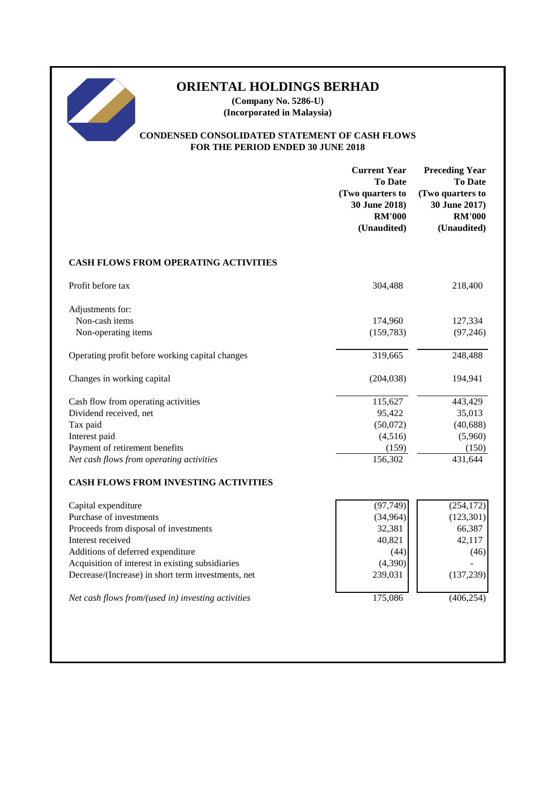# **ORIENTAL HOLDINGS BERHAD**

**(Company No. 5286-U) (Incorporated in Malaysia)**

# **CONDENSED CONSOLIDATED STATEMENT OF CASH FLOWS FOR THE PERIOD ENDED 30 JUNE 2018**

|                                                    | <b>Current Year</b><br><b>To Date</b><br>(Two quarters to<br>30 June 2018)<br><b>RM'000</b><br>(Unaudited) | <b>Preceding Year</b><br><b>To Date</b><br>(Two quarters to<br>30 June 2017)<br><b>RM'000</b><br>(Unaudited) |
|----------------------------------------------------|------------------------------------------------------------------------------------------------------------|--------------------------------------------------------------------------------------------------------------|
| <b>CASH FLOWS FROM OPERATING ACTIVITIES</b>        |                                                                                                            |                                                                                                              |
| Profit before tax                                  | 304,488                                                                                                    | 218,400                                                                                                      |
| Adjustments for:                                   |                                                                                                            |                                                                                                              |
| Non-cash items                                     | 174,960                                                                                                    | 127,334                                                                                                      |
| Non-operating items                                | (159, 783)                                                                                                 | (97, 246)                                                                                                    |
| Operating profit before working capital changes    | 319,665                                                                                                    | 248,488                                                                                                      |
| Changes in working capital                         | (204, 038)                                                                                                 | 194,941                                                                                                      |
| Cash flow from operating activities                | 115,627                                                                                                    | 443,429                                                                                                      |
| Dividend received, net                             | 95,422                                                                                                     | 35,013                                                                                                       |
| Tax paid                                           | (50,072)                                                                                                   | (40, 688)                                                                                                    |
| Interest paid                                      | (4,516)                                                                                                    | (5,960)                                                                                                      |
| Payment of retirement benefits                     | (159)                                                                                                      | (150)                                                                                                        |
| Net cash flows from operating activities           | 156,302                                                                                                    | 431,644                                                                                                      |
| <b>CASH FLOWS FROM INVESTING ACTIVITIES</b>        |                                                                                                            |                                                                                                              |
| Capital expenditure                                | (97, 749)                                                                                                  | (254, 172)                                                                                                   |
| Purchase of investments                            | (34, 964)                                                                                                  | (123, 301)                                                                                                   |
| Proceeds from disposal of investments              | 32,381                                                                                                     | 66,387                                                                                                       |
| Interest received                                  | 40,821                                                                                                     | 42,117                                                                                                       |
| Additions of deferred expenditure                  | (44)                                                                                                       | (46)                                                                                                         |
| Acquisition of interest in existing subsidiaries   | (4,390)                                                                                                    |                                                                                                              |
| Decrease/(Increase) in short term investments, net | 239,031                                                                                                    | (137, 239)                                                                                                   |
| Net cash flows from/(used in) investing activities | 175,086                                                                                                    | (406, 254)                                                                                                   |
|                                                    |                                                                                                            |                                                                                                              |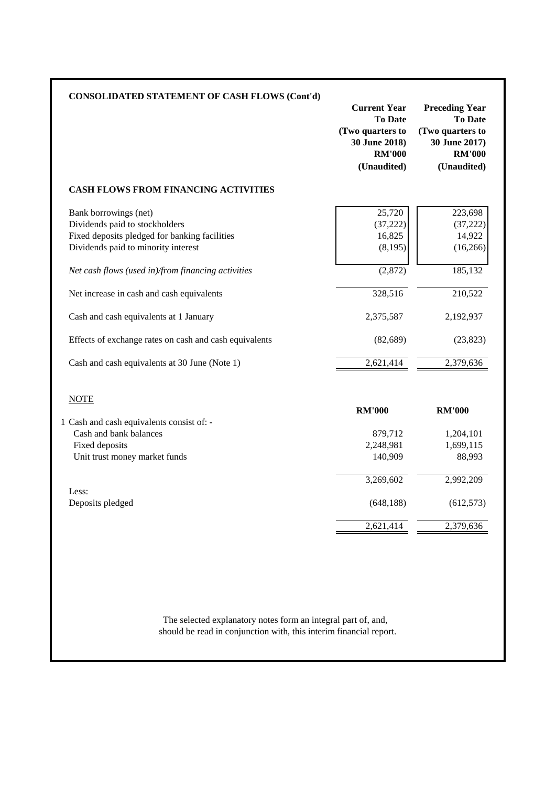| <b>CONSOLIDATED STATEMENT OF CASH FLOWS (Cont'd)</b>                                 | <b>Current Year</b><br><b>To Date</b><br>(Two quarters to<br>30 June 2018)<br><b>RM'000</b><br>(Unaudited) | <b>Preceding Year</b><br><b>To Date</b><br>(Two quarters to<br>30 June 2017)<br><b>RM'000</b><br>(Unaudited) |
|--------------------------------------------------------------------------------------|------------------------------------------------------------------------------------------------------------|--------------------------------------------------------------------------------------------------------------|
| <b>CASH FLOWS FROM FINANCING ACTIVITIES</b>                                          |                                                                                                            |                                                                                                              |
| Bank borrowings (net)<br>Dividends paid to stockholders                              | 25,720<br>(37, 222)                                                                                        | 223,698<br>(37, 222)                                                                                         |
| Fixed deposits pledged for banking facilities<br>Dividends paid to minority interest | 16,825<br>(8, 195)                                                                                         | 14,922<br>(16, 266)                                                                                          |
| Net cash flows (used in)/from financing activities                                   | (2,872)                                                                                                    | 185,132                                                                                                      |
| Net increase in cash and cash equivalents                                            | 328,516                                                                                                    | 210,522                                                                                                      |
| Cash and cash equivalents at 1 January                                               | 2,375,587                                                                                                  | 2,192,937                                                                                                    |
| Effects of exchange rates on cash and cash equivalents                               | (82, 689)                                                                                                  | (23, 823)                                                                                                    |
| Cash and cash equivalents at 30 June (Note 1)                                        | 2,621,414                                                                                                  | 2,379,636                                                                                                    |
| <b>NOTE</b>                                                                          |                                                                                                            |                                                                                                              |
| 1 Cash and cash equivalents consist of: -                                            | <b>RM'000</b>                                                                                              | <b>RM'000</b>                                                                                                |
| Cash and bank balances                                                               | 879,712                                                                                                    | 1,204,101                                                                                                    |
| Fixed deposits                                                                       | 2,248,981                                                                                                  | 1,699,115                                                                                                    |
| Unit trust money market funds                                                        | 140,909                                                                                                    | 88,993                                                                                                       |
|                                                                                      | 3,269,602                                                                                                  | 2,992,209                                                                                                    |
| Less:<br>Deposits pledged                                                            | (648, 188)                                                                                                 | (612, 573)                                                                                                   |
|                                                                                      | 2,621,414                                                                                                  | 2,379,636                                                                                                    |

should be read in conjunction with, this interim financial report. The selected explanatory notes form an integral part of, and,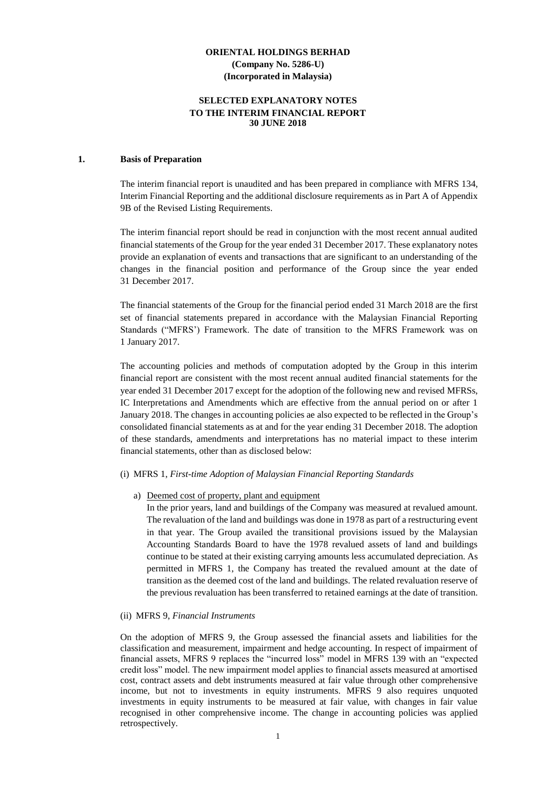## **SELECTED EXPLANATORY NOTES TO THE INTERIM FINANCIAL REPORT 30 JUNE 2018**

#### **1. Basis of Preparation**

The interim financial report is unaudited and has been prepared in compliance with MFRS 134, Interim Financial Reporting and the additional disclosure requirements as in Part A of Appendix 9B of the Revised Listing Requirements.

The interim financial report should be read in conjunction with the most recent annual audited financial statements of the Group for the year ended 31 December 2017. These explanatory notes provide an explanation of events and transactions that are significant to an understanding of the changes in the financial position and performance of the Group since the year ended 31 December 2017.

The financial statements of the Group for the financial period ended 31 March 2018 are the first set of financial statements prepared in accordance with the Malaysian Financial Reporting Standards ("MFRS') Framework. The date of transition to the MFRS Framework was on 1 January 2017.

The accounting policies and methods of computation adopted by the Group in this interim financial report are consistent with the most recent annual audited financial statements for the year ended 31 December 2017 except for the adoption of the following new and revised MFRSs, IC Interpretations and Amendments which are effective from the annual period on or after 1 January 2018. The changes in accounting policies ae also expected to be reflected in the Group's consolidated financial statements as at and for the year ending 31 December 2018. The adoption of these standards, amendments and interpretations has no material impact to these interim financial statements, other than as disclosed below:

#### (i) MFRS 1, *First-time Adoption of Malaysian Financial Reporting Standards*

#### a) Deemed cost of property, plant and equipment

In the prior years, land and buildings of the Company was measured at revalued amount. The revaluation of the land and buildings was done in 1978 as part of a restructuring event in that year. The Group availed the transitional provisions issued by the Malaysian Accounting Standards Board to have the 1978 revalued assets of land and buildings continue to be stated at their existing carrying amounts less accumulated depreciation. As permitted in MFRS 1, the Company has treated the revalued amount at the date of transition as the deemed cost of the land and buildings. The related revaluation reserve of the previous revaluation has been transferred to retained earnings at the date of transition.

#### (ii) MFRS 9, *Financial Instruments*

On the adoption of MFRS 9, the Group assessed the financial assets and liabilities for the classification and measurement, impairment and hedge accounting. In respect of impairment of financial assets, MFRS 9 replaces the "incurred loss" model in MFRS 139 with an "expected credit loss" model. The new impairment model applies to financial assets measured at amortised cost, contract assets and debt instruments measured at fair value through other comprehensive income, but not to investments in equity instruments. MFRS 9 also requires unquoted investments in equity instruments to be measured at fair value, with changes in fair value recognised in other comprehensive income. The change in accounting policies was applied retrospectively.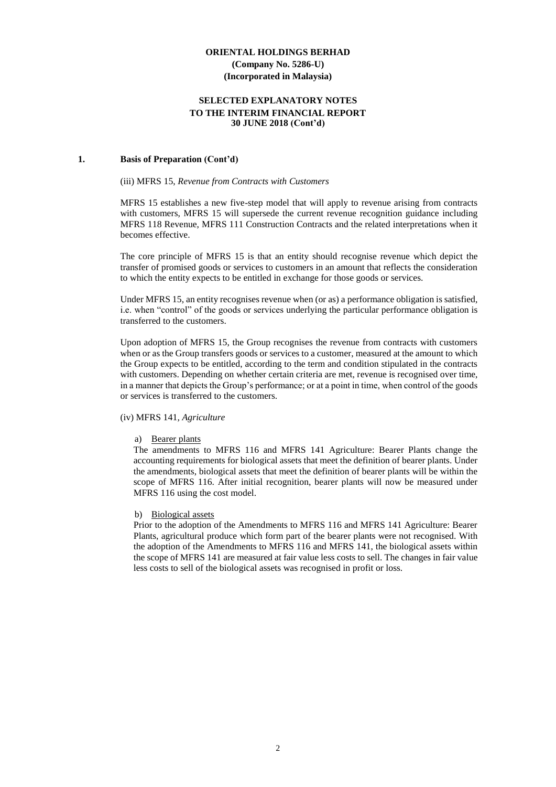#### **SELECTED EXPLANATORY NOTES TO THE INTERIM FINANCIAL REPORT 30 JUNE 2018 (Cont'd)**

#### **1. Basis of Preparation (Cont'd)**

#### (iii) MFRS 15, *Revenue from Contracts with Customers*

MFRS 15 establishes a new five-step model that will apply to revenue arising from contracts with customers, MFRS 15 will supersede the current revenue recognition guidance including MFRS 118 Revenue, MFRS 111 Construction Contracts and the related interpretations when it becomes effective.

The core principle of MFRS 15 is that an entity should recognise revenue which depict the transfer of promised goods or services to customers in an amount that reflects the consideration to which the entity expects to be entitled in exchange for those goods or services.

Under MFRS 15, an entity recognises revenue when (or as) a performance obligation is satisfied, i.e. when "control" of the goods or services underlying the particular performance obligation is transferred to the customers.

Upon adoption of MFRS 15, the Group recognises the revenue from contracts with customers when or as the Group transfers goods or services to a customer, measured at the amount to which the Group expects to be entitled, according to the term and condition stipulated in the contracts with customers. Depending on whether certain criteria are met, revenue is recognised over time, in a manner that depicts the Group's performance; or at a point in time, when control of the goods or services is transferred to the customers.

#### (iv) MFRS 141*, Agriculture*

#### a) Bearer plants

The amendments to MFRS 116 and MFRS 141 Agriculture: Bearer Plants change the accounting requirements for biological assets that meet the definition of bearer plants. Under the amendments, biological assets that meet the definition of bearer plants will be within the scope of MFRS 116. After initial recognition, bearer plants will now be measured under MFRS 116 using the cost model.

#### b) Biological assets

Prior to the adoption of the Amendments to MFRS 116 and MFRS 141 Agriculture: Bearer Plants, agricultural produce which form part of the bearer plants were not recognised. With the adoption of the Amendments to MFRS 116 and MFRS 141, the biological assets within the scope of MFRS 141 are measured at fair value less costs to sell. The changes in fair value less costs to sell of the biological assets was recognised in profit or loss.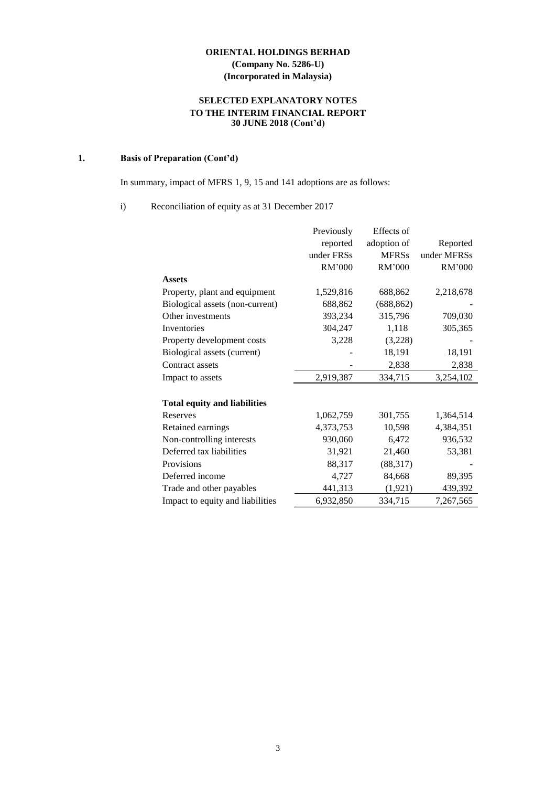# **SELECTED EXPLANATORY NOTES TO THE INTERIM FINANCIAL REPORT 30 JUNE 2018 (Cont'd)**

# **1. Basis of Preparation (Cont'd)**

In summary, impact of MFRS 1, 9, 15 and 141 adoptions are as follows:

#### i) Reconciliation of equity as at 31 December 2017

|                                     | Previously | Effects of   |             |
|-------------------------------------|------------|--------------|-------------|
|                                     | reported   | adoption of  | Reported    |
|                                     | under FRSs | <b>MFRSs</b> | under MFRSs |
|                                     | RM'000     | RM'000       | RM'000      |
| <b>Assets</b>                       |            |              |             |
| Property, plant and equipment       | 1,529,816  | 688,862      | 2,218,678   |
| Biological assets (non-current)     | 688,862    | (688, 862)   |             |
| Other investments                   | 393,234    | 315,796      | 709,030     |
| Inventories                         | 304,247    | 1,118        | 305,365     |
| Property development costs          | 3,228      | (3,228)      |             |
| Biological assets (current)         |            | 18,191       | 18,191      |
| Contract assets                     |            | 2,838        | 2,838       |
| Impact to assets                    | 2,919,387  | 334,715      | 3,254,102   |
| <b>Total equity and liabilities</b> |            |              |             |
| <b>Reserves</b>                     | 1,062,759  | 301,755      | 1,364,514   |
| Retained earnings                   | 4,373,753  | 10,598       | 4,384,351   |
| Non-controlling interests           | 930,060    | 6,472        | 936,532     |
| Deferred tax liabilities            | 31,921     | 21,460       | 53,381      |
| Provisions                          | 88,317     | (88, 317)    |             |
| Deferred income                     | 4,727      | 84,668       | 89,395      |
| Trade and other payables            | 441,313    | (1,921)      | 439,392     |
| Impact to equity and liabilities    | 6,932,850  | 334,715      | 7,267,565   |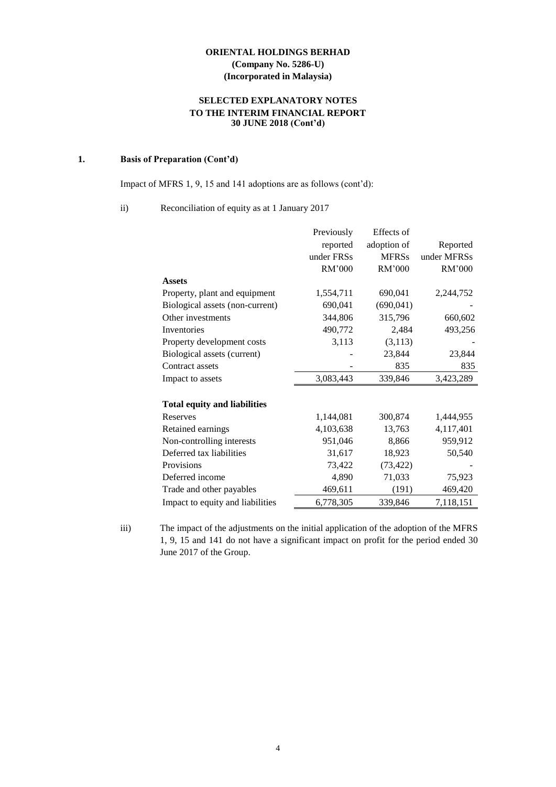# **SELECTED EXPLANATORY NOTES TO THE INTERIM FINANCIAL REPORT 30 JUNE 2018 (Cont'd)**

# **1. Basis of Preparation (Cont'd)**

Impact of MFRS 1, 9, 15 and 141 adoptions are as follows (cont'd):

## ii) Reconciliation of equity as at 1 January 2017

|                                     | Previously | Effects of   |             |
|-------------------------------------|------------|--------------|-------------|
|                                     | reported   | adoption of  | Reported    |
|                                     | under FRSs | <b>MFRSs</b> | under MFRSs |
|                                     | RM'000     | RM'000       | RM'000      |
| <b>Assets</b>                       |            |              |             |
| Property, plant and equipment       | 1,554,711  | 690,041      | 2,244,752   |
| Biological assets (non-current)     | 690,041    | (690, 041)   |             |
| Other investments                   | 344,806    | 315,796      | 660,602     |
| Inventories                         | 490,772    | 2,484        | 493,256     |
| Property development costs          | 3,113      | (3,113)      |             |
| Biological assets (current)         |            | 23,844       | 23,844      |
| Contract assets                     |            | 835          | 835         |
| Impact to assets                    | 3,083,443  | 339,846      | 3,423,289   |
|                                     |            |              |             |
| <b>Total equity and liabilities</b> |            |              |             |
| Reserves                            | 1,144,081  | 300,874      | 1,444,955   |
| Retained earnings                   | 4,103,638  | 13,763       | 4,117,401   |
| Non-controlling interests           | 951,046    | 8,866        | 959,912     |
| Deferred tax liabilities            | 31,617     | 18,923       | 50,540      |
| Provisions                          | 73,422     | (73, 422)    |             |
| Deferred income                     | 4,890      | 71,033       | 75,923      |
| Trade and other payables            | 469,611    | (191)        | 469,420     |
| Impact to equity and liabilities    | 6,778,305  | 339,846      | 7,118,151   |

iii) The impact of the adjustments on the initial application of the adoption of the MFRS 1, 9, 15 and 141 do not have a significant impact on profit for the period ended 30 June 2017 of the Group.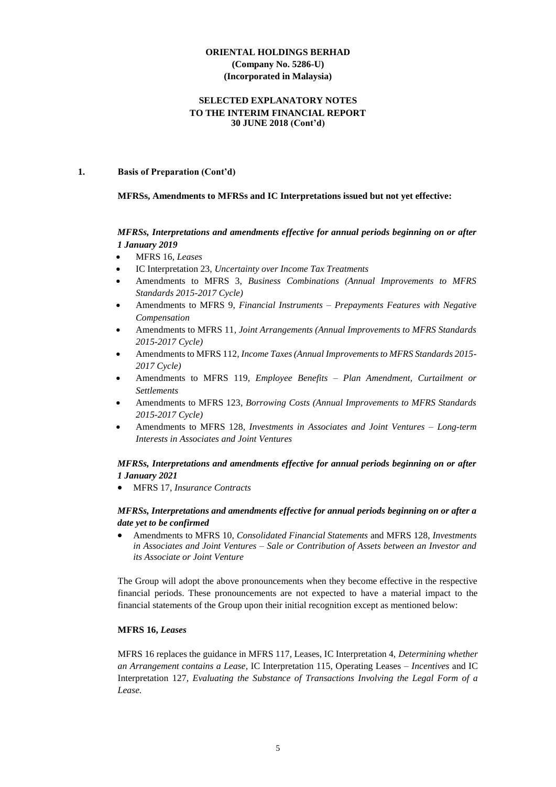#### **SELECTED EXPLANATORY NOTES TO THE INTERIM FINANCIAL REPORT 30 JUNE 2018 (Cont'd)**

#### **1. Basis of Preparation (Cont'd)**

#### **MFRSs, Amendments to MFRSs and IC Interpretations issued but not yet effective:**

## *MFRSs, Interpretations and amendments effective for annual periods beginning on or after 1 January 2019*

- MFRS 16, *Leases*
- IC Interpretation 23, *Uncertainty over Income Tax Treatments*
- Amendments to MFRS 3, *Business Combinations (Annual Improvements to MFRS Standards 2015-2017 Cycle)*
- Amendments to MFRS 9, *Financial Instruments – Prepayments Features with Negative Compensation*
- Amendments to MFRS 11*, Joint Arrangements (Annual Improvements to MFRS Standards 2015-2017 Cycle)*
- Amendments to MFRS 112*, Income Taxes (Annual Improvements to MFRS Standards 2015- 2017 Cycle)*
- Amendments to MFRS 119*, Employee Benefits – Plan Amendment, Curtailment or Settlements*
- Amendments to MFRS 123*, Borrowing Costs (Annual Improvements to MFRS Standards 2015-2017 Cycle)*
- Amendments to MFRS 128*, Investments in Associates and Joint Ventures – Long-term Interests in Associates and Joint Ventures*

#### *MFRSs, Interpretations and amendments effective for annual periods beginning on or after 1 January 2021*

• MFRS 17, *Insurance Contracts*

#### *MFRSs, Interpretations and amendments effective for annual periods beginning on or after a date yet to be confirmed*

• Amendments to MFRS 10, *Consolidated Financial Statements* and MFRS 128, *Investments in Associates and Joint Ventures – Sale or Contribution of Assets between an Investor and its Associate or Joint Venture*

The Group will adopt the above pronouncements when they become effective in the respective financial periods. These pronouncements are not expected to have a material impact to the financial statements of the Group upon their initial recognition except as mentioned below:

#### **MFRS 16,** *Leases*

MFRS 16 replaces the guidance in MFRS 117, Leases, IC Interpretation 4, *Determining whether an Arrangement contains a Lease*, IC Interpretation 115, Operating Leases *– Incentives* and IC Interpretation 127*, Evaluating the Substance of Transactions Involving the Legal Form of a Lease.*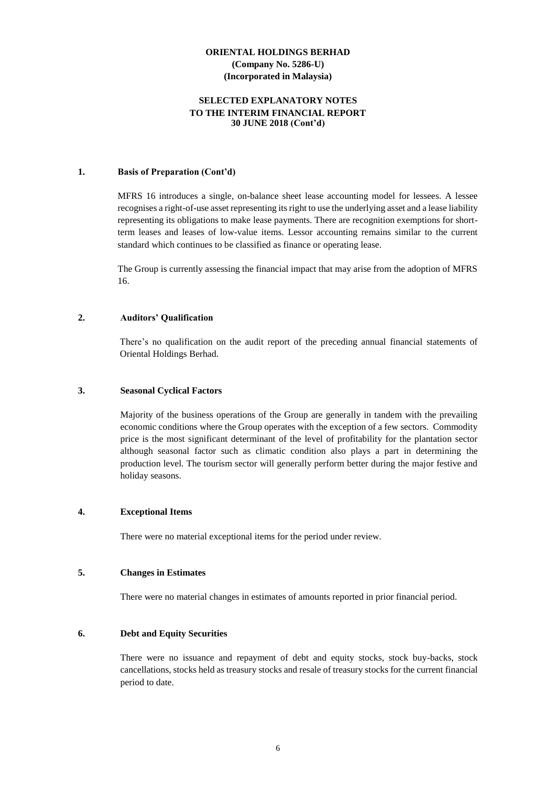#### **SELECTED EXPLANATORY NOTES TO THE INTERIM FINANCIAL REPORT 30 JUNE 2018 (Cont'd)**

#### **1. Basis of Preparation (Cont'd)**

MFRS 16 introduces a single, on-balance sheet lease accounting model for lessees. A lessee recognises a right-of-use asset representing its right to use the underlying asset and a lease liability representing its obligations to make lease payments. There are recognition exemptions for shortterm leases and leases of low-value items. Lessor accounting remains similar to the current standard which continues to be classified as finance or operating lease.

The Group is currently assessing the financial impact that may arise from the adoption of MFRS 16.

#### **2. Auditors' Qualification**

There's no qualification on the audit report of the preceding annual financial statements of Oriental Holdings Berhad.

#### **3. Seasonal Cyclical Factors**

Majority of the business operations of the Group are generally in tandem with the prevailing economic conditions where the Group operates with the exception of a few sectors. Commodity price is the most significant determinant of the level of profitability for the plantation sector although seasonal factor such as climatic condition also plays a part in determining the production level. The tourism sector will generally perform better during the major festive and holiday seasons.

#### **4. Exceptional Items**

There were no material exceptional items for the period under review.

#### **5. Changes in Estimates**

There were no material changes in estimates of amounts reported in prior financial period.

#### **6. Debt and Equity Securities**

There were no issuance and repayment of debt and equity stocks, stock buy-backs, stock cancellations, stocks held as treasury stocks and resale of treasury stocks for the current financial period to date.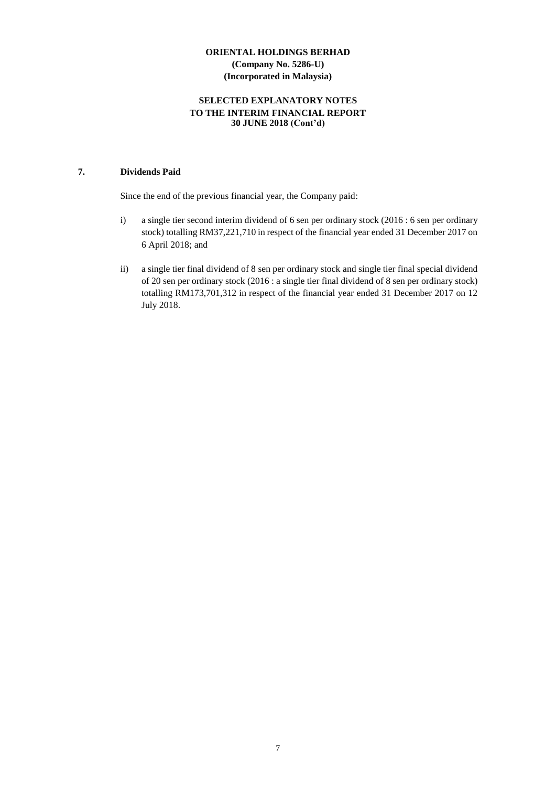# **SELECTED EXPLANATORY NOTES TO THE INTERIM FINANCIAL REPORT 30 JUNE 2018 (Cont'd)**

### **7. Dividends Paid**

Since the end of the previous financial year, the Company paid:

- i) a single tier second interim dividend of 6 sen per ordinary stock (2016 : 6 sen per ordinary stock) totalling RM37,221,710 in respect of the financial year ended 31 December 2017 on 6 April 2018; and
- ii) a single tier final dividend of 8 sen per ordinary stock and single tier final special dividend of 20 sen per ordinary stock (2016 : a single tier final dividend of 8 sen per ordinary stock) totalling RM173,701,312 in respect of the financial year ended 31 December 2017 on 12 July 2018.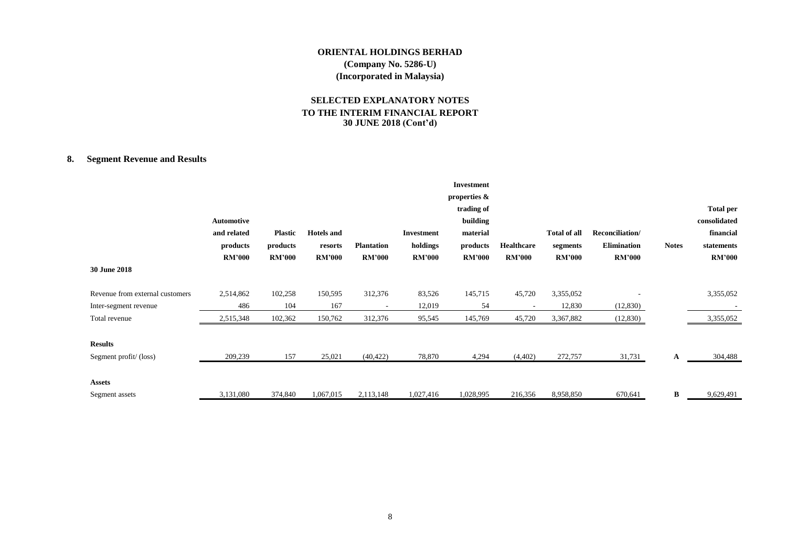## **SELECTED EXPLANATORY NOTES TO THE INTERIM FINANCIAL REPORT 30 JUNE 2018 (Cont'd)**

# **8. Segment Revenue and Results**

|                                                          | <b>Automotive</b><br>and related<br>products<br><b>RM'000</b> | <b>Plastic</b><br>products<br><b>RM'000</b> | <b>Hotels</b> and<br>resorts<br><b>RM'000</b> | <b>Plantation</b><br><b>RM'000</b> | <b>Investment</b><br>holdings<br><b>RM'000</b> | <b>Investment</b><br>properties &<br>trading of<br>building<br>material<br>products<br><b>RM'000</b> | Healthcare<br><b>RM'000</b> | <b>Total of all</b><br>segments<br><b>RM'000</b> | Reconciliation/<br><b>Elimination</b><br><b>RM'000</b> | <b>Notes</b> | <b>Total per</b><br>consolidated<br>financial<br>statements<br><b>RM'000</b> |
|----------------------------------------------------------|---------------------------------------------------------------|---------------------------------------------|-----------------------------------------------|------------------------------------|------------------------------------------------|------------------------------------------------------------------------------------------------------|-----------------------------|--------------------------------------------------|--------------------------------------------------------|--------------|------------------------------------------------------------------------------|
| 30 June 2018                                             |                                                               |                                             |                                               |                                    |                                                |                                                                                                      |                             |                                                  |                                                        |              |                                                                              |
| Revenue from external customers<br>Inter-segment revenue | 2,514,862<br>486                                              | 102,258<br>104                              | 150,595<br>167                                | 312,376                            | 83,526<br>12,019                               | 145,715<br>54                                                                                        | 45,720                      | 3,355,052<br>12,830                              | (12,830)                                               |              | 3,355,052                                                                    |
| Total revenue                                            | 2,515,348                                                     | 102,362                                     | 150,762                                       | 312,376                            | 95,545                                         | 145,769                                                                                              | 45,720                      | 3,367,882                                        | (12,830)                                               |              | 3,355,052                                                                    |
| <b>Results</b><br>Segment profit/(loss)                  | 209,239                                                       | 157                                         | 25,021                                        | (40, 422)                          | 78,870                                         | 4,294                                                                                                | (4,402)                     | 272,757                                          | 31,731                                                 | A            | 304,488                                                                      |
| <b>Assets</b><br>Segment assets                          | 3,131,080                                                     | 374,840                                     | 1,067,015                                     | 2,113,148                          | 1,027,416                                      | 1,028,995                                                                                            | 216,356                     | 8,958,850                                        | 670,641                                                | B            | 9,629,491                                                                    |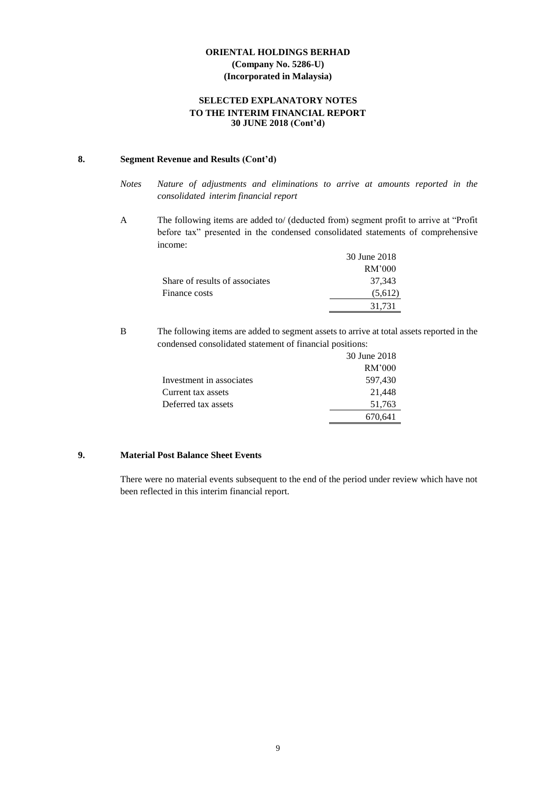# **SELECTED EXPLANATORY NOTES TO THE INTERIM FINANCIAL REPORT 30 JUNE 2018 (Cont'd)**

#### **8. Segment Revenue and Results (Cont'd)**

- *Notes Nature of adjustments and eliminations to arrive at amounts reported in the consolidated interim financial report*
- A The following items are added to/ (deducted from) segment profit to arrive at "Profit before tax" presented in the condensed consolidated statements of comprehensive income:

|                                | 30 June 2018 |
|--------------------------------|--------------|
|                                | RM'000       |
| Share of results of associates | 37.343       |
| Finance costs                  | (5,612)      |
|                                | 31.731       |

B The following items are added to segment assets to arrive at total assets reported in the condensed consolidated statement of financial positions:

|                          | 30 June 2018 |
|--------------------------|--------------|
|                          | RM'000       |
| Investment in associates | 597,430      |
| Current tax assets       | 21,448       |
| Deferred tax assets      | 51,763       |
|                          | 670,641      |

# **9. Material Post Balance Sheet Events**

There were no material events subsequent to the end of the period under review which have not been reflected in this interim financial report.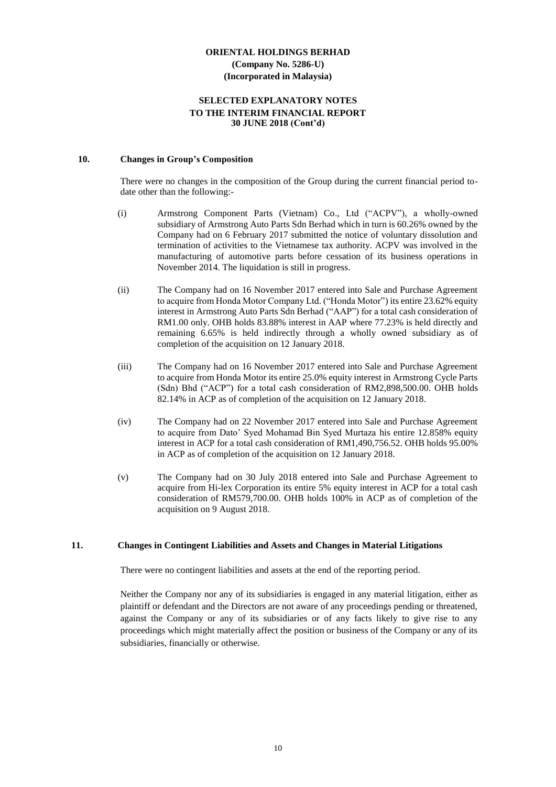#### **SELECTED EXPLANATORY NOTES TO THE INTERIM FINANCIAL REPORT 30 JUNE 2018 (Cont'd)**

#### **10. Changes in Group's Composition**

There were no changes in the composition of the Group during the current financial period todate other than the following:-

- (i) Armstrong Component Parts (Vietnam) Co., Ltd ("ACPV"), a wholly-owned subsidiary of Armstrong Auto Parts Sdn Berhad which in turn is 60.26% owned by the Company had on 6 February 2017 submitted the notice of voluntary dissolution and termination of activities to the Vietnamese tax authority. ACPV was involved in the manufacturing of automotive parts before cessation of its business operations in November 2014. The liquidation is still in progress.
- (ii) The Company had on 16 November 2017 entered into Sale and Purchase Agreement to acquire from Honda Motor Company Ltd. ("Honda Motor") its entire 23.62% equity interest in Armstrong Auto Parts Sdn Berhad ("AAP") for a total cash consideration of RM1.00 only. OHB holds 83.88% interest in AAP where 77.23% is held directly and remaining 6.65% is held indirectly through a wholly owned subsidiary as of completion of the acquisition on 12 January 2018.
- (iii) The Company had on 16 November 2017 entered into Sale and Purchase Agreement to acquire from Honda Motor its entire 25.0% equity interest in Armstrong Cycle Parts (Sdn) Bhd ("ACP") for a total cash consideration of RM2,898,500.00. OHB holds 82.14% in ACP as of completion of the acquisition on 12 January 2018.
- (iv) The Company had on 22 November 2017 entered into Sale and Purchase Agreement to acquire from Dato' Syed Mohamad Bin Syed Murtaza his entire 12.858% equity interest in ACP for a total cash consideration of RM1,490,756.52. OHB holds 95.00% in ACP as of completion of the acquisition on 12 January 2018.
- (v) The Company had on 30 July 2018 entered into Sale and Purchase Agreement to acquire from Hi-lex Corporation its entire 5% equity interest in ACP for a total cash consideration of RM579,700.00. OHB holds 100% in ACP as of completion of the acquisition on 9 August 2018.

#### **11. Changes in Contingent Liabilities and Assets and Changes in Material Litigations**

There were no contingent liabilities and assets at the end of the reporting period.

Neither the Company nor any of its subsidiaries is engaged in any material litigation, either as plaintiff or defendant and the Directors are not aware of any proceedings pending or threatened, against the Company or any of its subsidiaries or of any facts likely to give rise to any proceedings which might materially affect the position or business of the Company or any of its subsidiaries, financially or otherwise.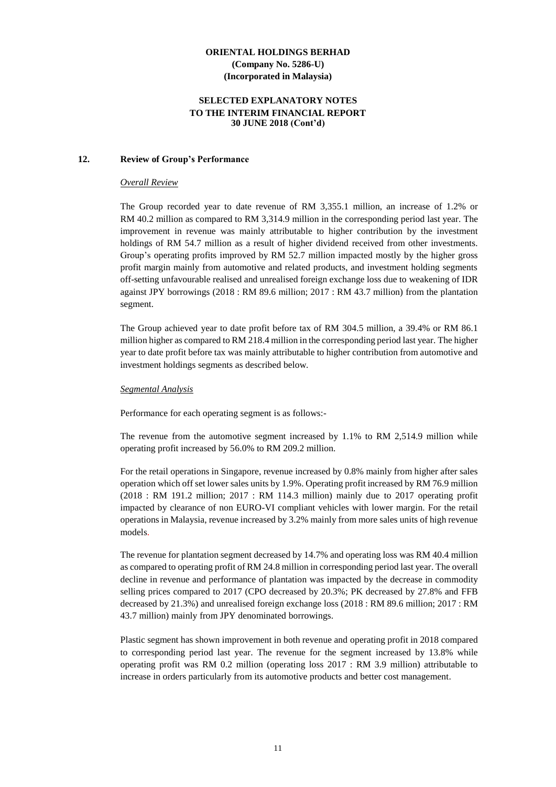#### **SELECTED EXPLANATORY NOTES TO THE INTERIM FINANCIAL REPORT 30 JUNE 2018 (Cont'd)**

#### **12. Review of Group's Performance**

#### *Overall Review*

The Group recorded year to date revenue of RM 3,355.1 million, an increase of 1.2% or RM 40.2 million as compared to RM 3,314.9 million in the corresponding period last year. The improvement in revenue was mainly attributable to higher contribution by the investment holdings of RM 54.7 million as a result of higher dividend received from other investments. Group's operating profits improved by RM 52.7 million impacted mostly by the higher gross profit margin mainly from automotive and related products, and investment holding segments off-setting unfavourable realised and unrealised foreign exchange loss due to weakening of IDR against JPY borrowings (2018 : RM 89.6 million; 2017 : RM 43.7 million) from the plantation segment.

The Group achieved year to date profit before tax of RM 304.5 million, a 39.4% or RM 86.1 million higher as compared to RM 218.4 million in the corresponding period last year. The higher year to date profit before tax was mainly attributable to higher contribution from automotive and investment holdings segments as described below.

#### *Segmental Analysis*

Performance for each operating segment is as follows:-

The revenue from the automotive segment increased by 1.1% to RM 2,514.9 million while operating profit increased by 56.0% to RM 209.2 million.

For the retail operations in Singapore, revenue increased by 0.8% mainly from higher after sales operation which off set lower sales units by 1.9%. Operating profit increased by RM 76.9 million (2018 : RM 191.2 million; 2017 : RM 114.3 million) mainly due to 2017 operating profit impacted by clearance of non EURO-VI compliant vehicles with lower margin. For the retail operations in Malaysia, revenue increased by 3.2% mainly from more sales units of high revenue models.

The revenue for plantation segment decreased by 14.7% and operating loss was RM 40.4 million as compared to operating profit of RM 24.8 million in corresponding period last year. The overall decline in revenue and performance of plantation was impacted by the decrease in commodity selling prices compared to 2017 (CPO decreased by 20.3%; PK decreased by 27.8% and FFB decreased by 21.3%) and unrealised foreign exchange loss (2018 : RM 89.6 million; 2017 : RM 43.7 million) mainly from JPY denominated borrowings.

Plastic segment has shown improvement in both revenue and operating profit in 2018 compared to corresponding period last year. The revenue for the segment increased by 13.8% while operating profit was RM 0.2 million (operating loss 2017 : RM 3.9 million) attributable to increase in orders particularly from its automotive products and better cost management.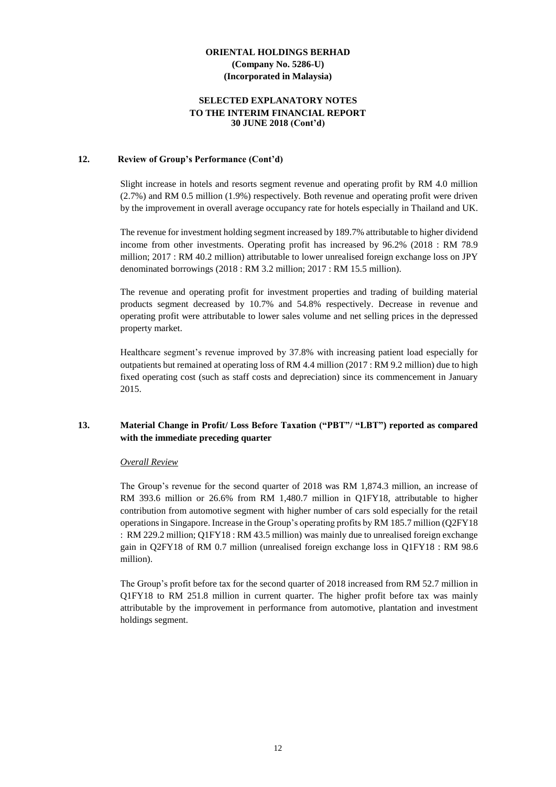#### **SELECTED EXPLANATORY NOTES TO THE INTERIM FINANCIAL REPORT 30 JUNE 2018 (Cont'd)**

#### **12. Review of Group's Performance (Cont'd)**

Slight increase in hotels and resorts segment revenue and operating profit by RM 4.0 million (2.7%) and RM 0.5 million (1.9%) respectively. Both revenue and operating profit were driven by the improvement in overall average occupancy rate for hotels especially in Thailand and UK.

The revenue for investment holding segment increased by 189.7% attributable to higher dividend income from other investments. Operating profit has increased by 96.2% (2018 : RM 78.9 million; 2017 : RM 40.2 million) attributable to lower unrealised foreign exchange loss on JPY denominated borrowings (2018 : RM 3.2 million; 2017 : RM 15.5 million).

The revenue and operating profit for investment properties and trading of building material products segment decreased by 10.7% and 54.8% respectively. Decrease in revenue and operating profit were attributable to lower sales volume and net selling prices in the depressed property market.

Healthcare segment's revenue improved by 37.8% with increasing patient load especially for outpatients but remained at operating loss of RM 4.4 million (2017 : RM 9.2 million) due to high fixed operating cost (such as staff costs and depreciation) since its commencement in January 2015.

#### **13. Material Change in Profit/ Loss Before Taxation ("PBT"/ "LBT") reported as compared with the immediate preceding quarter**

#### *Overall Review*

The Group's revenue for the second quarter of 2018 was RM 1,874.3 million, an increase of RM 393.6 million or 26.6% from RM 1,480.7 million in Q1FY18, attributable to higher contribution from automotive segment with higher number of cars sold especially for the retail operations in Singapore. Increase in the Group's operating profits by RM 185.7 million (Q2FY18 : RM 229.2 million; Q1FY18 : RM 43.5 million) was mainly due to unrealised foreign exchange gain in Q2FY18 of RM 0.7 million (unrealised foreign exchange loss in Q1FY18 : RM 98.6 million).

The Group's profit before tax for the second quarter of 2018 increased from RM 52.7 million in Q1FY18 to RM 251.8 million in current quarter. The higher profit before tax was mainly attributable by the improvement in performance from automotive, plantation and investment holdings segment.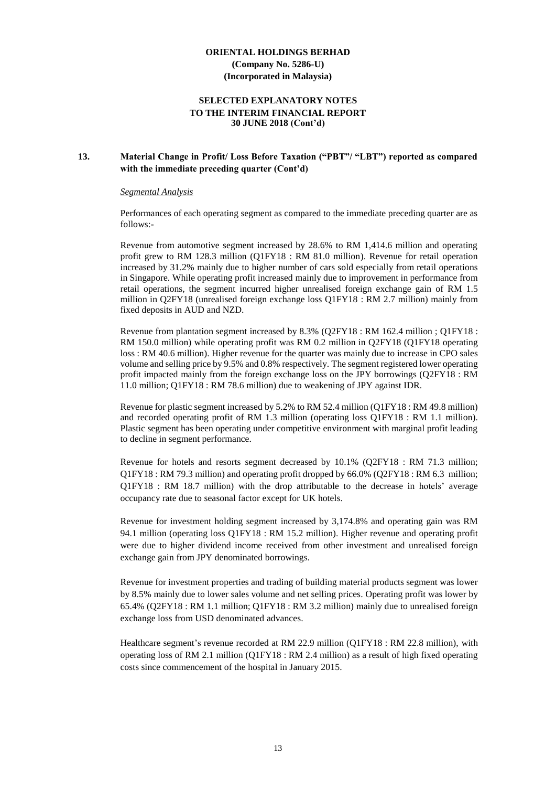#### **SELECTED EXPLANATORY NOTES TO THE INTERIM FINANCIAL REPORT 30 JUNE 2018 (Cont'd)**

#### **13. Material Change in Profit/ Loss Before Taxation ("PBT"/ "LBT") reported as compared with the immediate preceding quarter (Cont'd)**

#### *Segmental Analysis*

Performances of each operating segment as compared to the immediate preceding quarter are as follows:-

Revenue from automotive segment increased by 28.6% to RM 1,414.6 million and operating profit grew to RM 128.3 million (Q1FY18 : RM 81.0 million). Revenue for retail operation increased by 31.2% mainly due to higher number of cars sold especially from retail operations in Singapore. While operating profit increased mainly due to improvement in performance from retail operations, the segment incurred higher unrealised foreign exchange gain of RM 1.5 million in Q2FY18 (unrealised foreign exchange loss Q1FY18 : RM 2.7 million) mainly from fixed deposits in AUD and NZD.

Revenue from plantation segment increased by 8.3% (Q2FY18 : RM 162.4 million ; Q1FY18 : RM 150.0 million) while operating profit was RM 0.2 million in Q2FY18 (Q1FY18 operating loss : RM 40.6 million). Higher revenue for the quarter was mainly due to increase in CPO sales volume and selling price by 9.5% and 0.8% respectively. The segment registered lower operating profit impacted mainly from the foreign exchange loss on the JPY borrowings (Q2FY18 : RM 11.0 million; Q1FY18 : RM 78.6 million) due to weakening of JPY against IDR.

Revenue for plastic segment increased by 5.2% to RM 52.4 million (Q1FY18 : RM 49.8 million) and recorded operating profit of RM 1.3 million (operating loss Q1FY18 : RM 1.1 million). Plastic segment has been operating under competitive environment with marginal profit leading to decline in segment performance.

Revenue for hotels and resorts segment decreased by 10.1% (Q2FY18 : RM 71.3 million; Q1FY18 : RM 79.3 million) and operating profit dropped by 66.0% (Q2FY18 : RM 6.3 million; Q1FY18 : RM 18.7 million) with the drop attributable to the decrease in hotels' average occupancy rate due to seasonal factor except for UK hotels.

Revenue for investment holding segment increased by 3,174.8% and operating gain was RM 94.1 million (operating loss Q1FY18 : RM 15.2 million). Higher revenue and operating profit were due to higher dividend income received from other investment and unrealised foreign exchange gain from JPY denominated borrowings.

Revenue for investment properties and trading of building material products segment was lower by 8.5% mainly due to lower sales volume and net selling prices. Operating profit was lower by 65.4% (Q2FY18 : RM 1.1 million; Q1FY18 : RM 3.2 million) mainly due to unrealised foreign exchange loss from USD denominated advances.

Healthcare segment's revenue recorded at RM 22.9 million (Q1FY18 : RM 22.8 million), with operating loss of RM 2.1 million (Q1FY18 : RM 2.4 million) as a result of high fixed operating costs since commencement of the hospital in January 2015.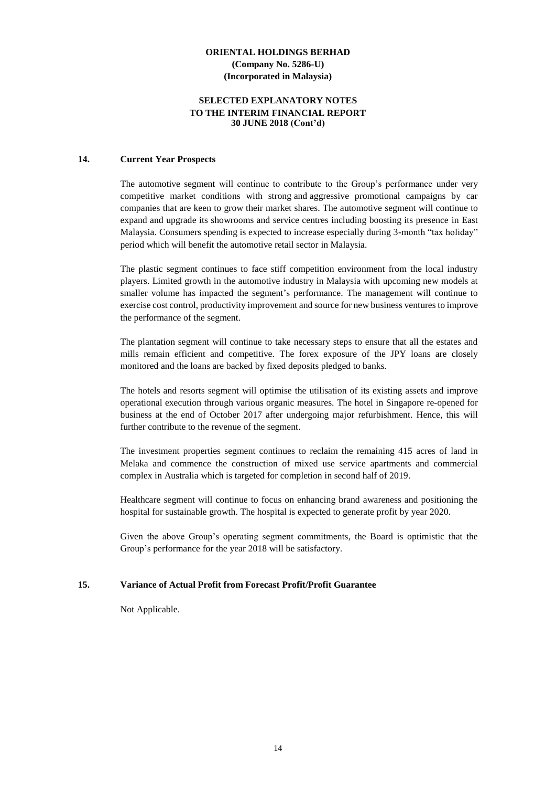#### **SELECTED EXPLANATORY NOTES TO THE INTERIM FINANCIAL REPORT 30 JUNE 2018 (Cont'd)**

#### **14. Current Year Prospects**

The automotive segment will continue to contribute to the Group's performance under very competitive market conditions with strong and aggressive promotional campaigns by car companies that are keen to grow their market shares. The automotive segment will continue to expand and upgrade its showrooms and service centres including boosting its presence in East Malaysia. Consumers spending is expected to increase especially during 3-month "tax holiday" period which will benefit the automotive retail sector in Malaysia.

The plastic segment continues to face stiff competition environment from the local industry players. Limited growth in the automotive industry in Malaysia with upcoming new models at smaller volume has impacted the segment's performance. The management will continue to exercise cost control, productivity improvement and source for new business ventures to improve the performance of the segment.

The plantation segment will continue to take necessary steps to ensure that all the estates and mills remain efficient and competitive. The forex exposure of the JPY loans are closely monitored and the loans are backed by fixed deposits pledged to banks.

The hotels and resorts segment will optimise the utilisation of its existing assets and improve operational execution through various organic measures. The hotel in Singapore re-opened for business at the end of October 2017 after undergoing major refurbishment. Hence, this will further contribute to the revenue of the segment.

The investment properties segment continues to reclaim the remaining 415 acres of land in Melaka and commence the construction of mixed use service apartments and commercial complex in Australia which is targeted for completion in second half of 2019.

Healthcare segment will continue to focus on enhancing brand awareness and positioning the hospital for sustainable growth. The hospital is expected to generate profit by year 2020.

Given the above Group's operating segment commitments, the Board is optimistic that the Group's performance for the year 2018 will be satisfactory.

#### **15. Variance of Actual Profit from Forecast Profit/Profit Guarantee**

Not Applicable.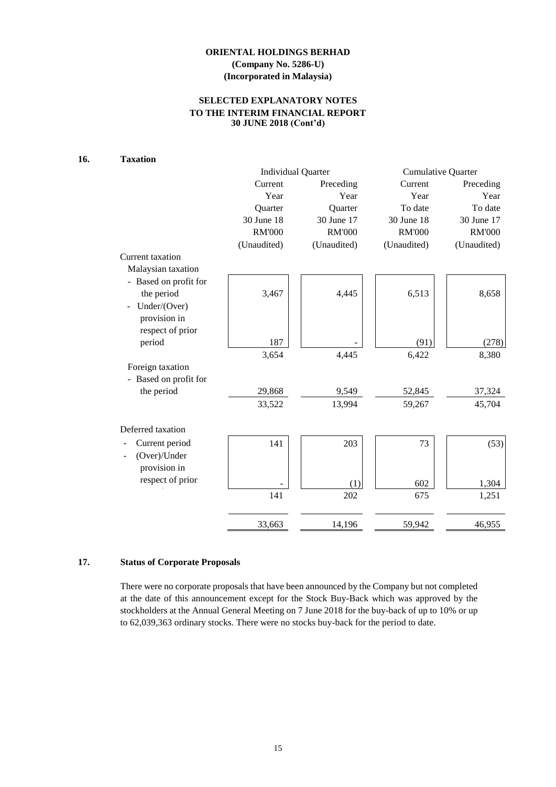# **SELECTED EXPLANATORY NOTES TO THE INTERIM FINANCIAL REPORT 30 JUNE 2018 (Cont'd)**

# **16. Taxation**

|                       |               | <b>Individual Quarter</b> | Cumulative Quarter |               |  |  |
|-----------------------|---------------|---------------------------|--------------------|---------------|--|--|
|                       | Current       | Preceding                 | Current            | Preceding     |  |  |
|                       | Year          | Year                      | Year               | Year          |  |  |
|                       | Quarter       | Quarter                   | To date            | To date       |  |  |
|                       | 30 June 18    | 30 June 17                | 30 June 18         | 30 June 17    |  |  |
|                       | <b>RM'000</b> | <b>RM'000</b>             | <b>RM'000</b>      | <b>RM'000</b> |  |  |
|                       | (Unaudited)   | (Unaudited)               | (Unaudited)        | (Unaudited)   |  |  |
| Current taxation      |               |                           |                    |               |  |  |
| Malaysian taxation    |               |                           |                    |               |  |  |
| - Based on profit for |               |                           |                    |               |  |  |
| the period            | 3,467         | 4,445                     | 6,513              | 8,658         |  |  |
| Under/(Over)          |               |                           |                    |               |  |  |
| provision in          |               |                           |                    |               |  |  |
| respect of prior      |               |                           |                    |               |  |  |
| period                | 187           |                           | (91)               | (278)         |  |  |
|                       | 3,654         | 4,445                     | 6,422              | 8,380         |  |  |
| Foreign taxation      |               |                           |                    |               |  |  |
| - Based on profit for |               |                           |                    |               |  |  |
| the period            | 29,868        | 9,549                     | 52,845             | 37,324        |  |  |
|                       | 33,522        | 13,994                    | 59,267             | 45,704        |  |  |
| Deferred taxation     |               |                           |                    |               |  |  |
| Current period        | 141           | 203                       | 73                 | (53)          |  |  |
| (Over)/Under          |               |                           |                    |               |  |  |
| provision in          |               |                           |                    |               |  |  |
| respect of prior      |               |                           |                    |               |  |  |
|                       |               | (1)                       | 602                | 1,304         |  |  |
|                       | 141           | 202                       | 675                | 1,251         |  |  |
|                       | 33,663        | 14,196                    | 59,942             | 46,955        |  |  |

#### **17. Status of Corporate Proposals**

There were no corporate proposals that have been announced by the Company but not completed at the date of this announcement except for the Stock Buy-Back which was approved by the stockholders at the Annual General Meeting on 7 June 2018 for the buy-back of up to 10% or up to 62,039,363 ordinary stocks. There were no stocks buy-back for the period to date.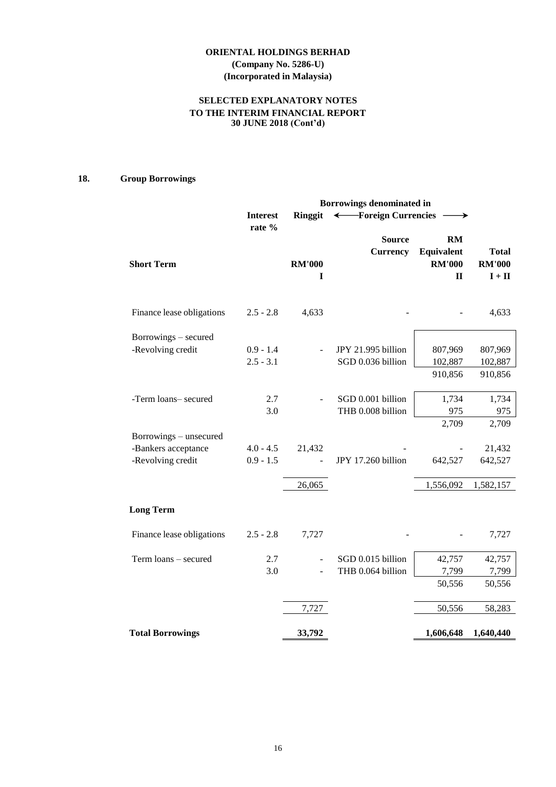# **ORIENTAL HOLDINGS BERHAD (Company No. 5286-U)**

# **(Incorporated in Malaysia)**

# **SELECTED EXPLANATORY NOTES TO THE INTERIM FINANCIAL REPORT 30 JUNE 2018 (Cont'd)**

# **18. Group Borrowings**

|                           | <b>Borrowings denominated in</b> |                    |                                  |                                                   |                                           |  |
|---------------------------|----------------------------------|--------------------|----------------------------------|---------------------------------------------------|-------------------------------------------|--|
|                           | <b>Interest</b><br>rate %        | <b>Ringgit</b>     | ← Foreign Currencies             |                                                   |                                           |  |
| <b>Short Term</b>         |                                  | <b>RM'000</b><br>I | <b>Source</b><br><b>Currency</b> | RM<br>Equivalent<br><b>RM'000</b><br>$\mathbf{H}$ | <b>Total</b><br><b>RM'000</b><br>$I + II$ |  |
| Finance lease obligations | $2.5 - 2.8$                      | 4,633              |                                  |                                                   | 4,633                                     |  |
| Borrowings – secured      |                                  |                    |                                  |                                                   |                                           |  |
| -Revolving credit         | $0.9 - 1.4$                      |                    | JPY 21.995 billion               | 807,969                                           | 807,969                                   |  |
|                           | $2.5 - 3.1$                      |                    | SGD 0.036 billion                | 102,887                                           | 102,887                                   |  |
|                           |                                  |                    |                                  | 910,856                                           | 910,856                                   |  |
| -Term loans- secured      | 2.7                              |                    | SGD 0.001 billion                | 1,734                                             | 1,734                                     |  |
|                           | 3.0                              |                    | THB 0.008 billion                | 975                                               | 975                                       |  |
|                           |                                  |                    |                                  | 2,709                                             | 2,709                                     |  |
| Borrowings - unsecured    |                                  |                    |                                  |                                                   |                                           |  |
| -Bankers acceptance       | $4.0 - 4.5$                      | 21,432             |                                  |                                                   | 21,432                                    |  |
| -Revolving credit         | $0.9 - 1.5$                      |                    | JPY 17.260 billion               | 642,527                                           | 642,527                                   |  |
|                           |                                  | 26,065             |                                  | 1,556,092                                         | 1,582,157                                 |  |
| <b>Long Term</b>          |                                  |                    |                                  |                                                   |                                           |  |
| Finance lease obligations | $2.5 - 2.8$                      | 7,727              |                                  |                                                   | 7,727                                     |  |
| Term loans - secured      | 2.7                              |                    | SGD 0.015 billion                | 42,757                                            | 42,757                                    |  |
|                           | 3.0                              |                    | THB 0.064 billion                | 7,799                                             | 7,799                                     |  |
|                           |                                  |                    |                                  | 50,556                                            | 50,556                                    |  |
|                           |                                  | 7,727              |                                  | 50,556                                            | 58,283                                    |  |
| <b>Total Borrowings</b>   |                                  | 33,792             |                                  | 1,606,648                                         | 1,640,440                                 |  |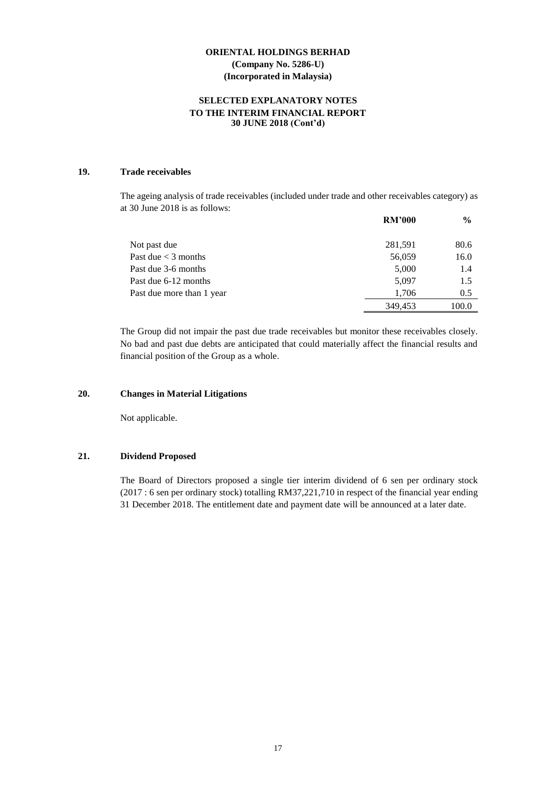#### **SELECTED EXPLANATORY NOTES TO THE INTERIM FINANCIAL REPORT 30 JUNE 2018 (Cont'd)**

#### **19. Trade receivables**

The ageing analysis of trade receivables (included under trade and other receivables category) as at 30 June 2018 is as follows:

|                           | <b>RM'000</b> | $\frac{0}{0}$ |
|---------------------------|---------------|---------------|
| Not past due              | 281,591       | 80.6          |
| Past due $<$ 3 months     | 56,059        | 16.0          |
| Past due 3-6 months       | 5,000         | 1.4           |
| Past due 6-12 months      | 5,097         | 1.5           |
| Past due more than 1 year | 1,706         | 0.5           |
|                           | 349.453       | 100.0         |

The Group did not impair the past due trade receivables but monitor these receivables closely. No bad and past due debts are anticipated that could materially affect the financial results and financial position of the Group as a whole.

#### **20. Changes in Material Litigations**

Not applicable.

#### **21. Dividend Proposed**

The Board of Directors proposed a single tier interim dividend of 6 sen per ordinary stock (2017 : 6 sen per ordinary stock) totalling RM37,221,710 in respect of the financial year ending 31 December 2018. The entitlement date and payment date will be announced at a later date.